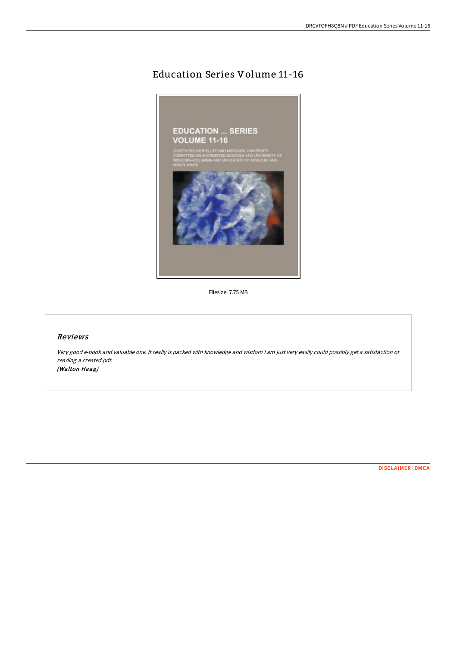# Education Series Volume 11-16



Filesize: 7.75 MB

## Reviews

Very good e-book and valuable one. It really is packed with knowledge and wisdom <sup>I</sup> am just very easily could possibly get <sup>a</sup> satisfaction of reading <sup>a</sup> created pdf. (Walton Haag)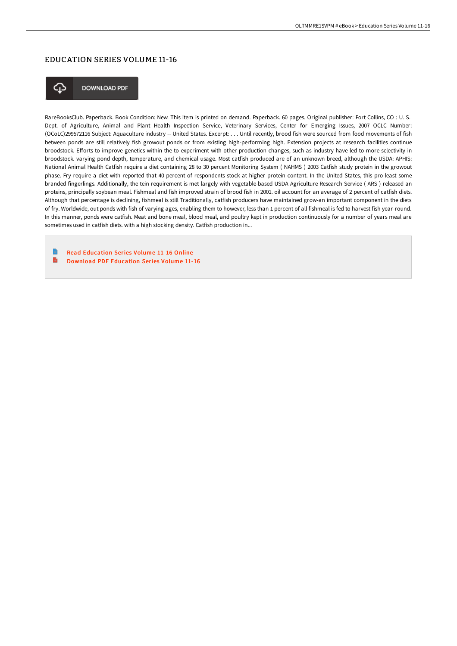### EDUCATION SERIES VOLUME 11-16



**DOWNLOAD PDF** 

RareBooksClub. Paperback. Book Condition: New. This item is printed on demand. Paperback. 60 pages. Original publisher: Fort Collins, CO : U. S. Dept. of Agriculture, Animal and Plant Health Inspection Service, Veterinary Services, Center for Emerging Issues, 2007 OCLC Number: (OCoLC)299572116 Subject: Aquaculture industry -- United States. Excerpt: . . . Until recently, brood fish were sourced from food movements of fish between ponds are still relatively fish growout ponds or from existing high-performing high. Extension projects at research facilities continue broodstock. Efforts to improve genetics within the to experiment with other production changes, such as industry have led to more selectivity in broodstock. varying pond depth, temperature, and chemical usage. Most catfish produced are of an unknown breed, although the USDA: APHIS: National Animal Health Catfish require a diet containing 28 to 30 percent Monitoring System ( NAHMS ) 2003 Catfish study protein in the growout phase. Fry require a diet with reported that 40 percent of respondents stock at higher protein content. In the United States, this pro-least some branded fingerlings. Additionally, the tein requirement is met largely with vegetable-based USDA Agriculture Research Service ( ARS ) released an proteins, principally soybean meal. Fishmeal and fish improved strain of brood fish in 2001. oil account for an average of 2 percent of catfish diets. Although that percentage is declining, fishmeal is still Traditionally, catfish producers have maintained grow-an important component in the diets of fry. Worldwide, out ponds with fish of varying ages, enabling them to however, less than 1 percent of all fishmeal is fed to harvest fish year-round. In this manner, ponds were catfish. Meat and bone meal, blood meal, and poultry kept in production continuously for a number of years meal are sometimes used in catfish diets. with a high stocking density. Catfish production in...

Read [Education](http://digilib.live/education-series-volume-11-16.html) Series Volume 11-16 Online B Download PDF [Education](http://digilib.live/education-series-volume-11-16.html) Series Volume 11-16